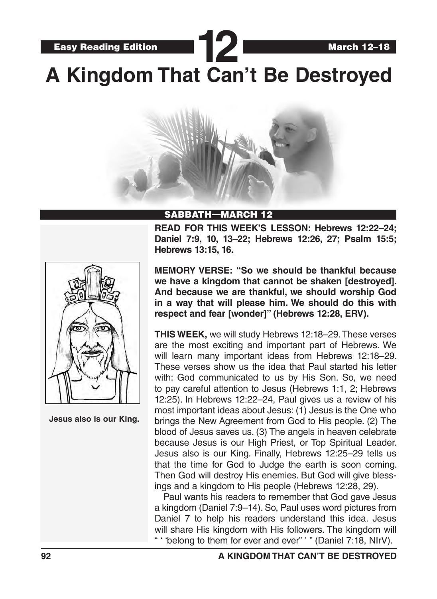# Easy Reading Edition **12** March 12–18 **A Kingdom That Can't Be Destroyed**



### SABBATH—MARCH 12

**READ FOR THIS WEEK'S LESSON: Hebrews 12:22–24; Daniel 7:9, 10, 13–22; Hebrews 12:26, 27; Psalm 15:5; Hebrews 13:15, 16.**



**Jesus also is our King.**

**MEMORY VERSE: "So we should be thankful because we have a kingdom that cannot be shaken [destroyed]. And because we are thankful, we should worship God in a way that will please him. We should do this with respect and fear [wonder]" (Hebrews 12:28, ERV).**

**THIS WEEK,** we will study Hebrews 12:18–29. These verses are the most exciting and important part of Hebrews. We will learn many important ideas from Hebrews 12:18–29. These verses show us the idea that Paul started his letter with: God communicated to us by His Son. So, we need to pay careful attention to Jesus (Hebrews 1:1, 2; Hebrews 12:25). In Hebrews 12:22–24, Paul gives us a review of his most important ideas about Jesus: (1) Jesus is the One who brings the New Agreement from God to His people. (2) The blood of Jesus saves us. (3) The angels in heaven celebrate because Jesus is our High Priest, or Top Spiritual Leader. Jesus also is our King. Finally, Hebrews 12:25–29 tells us that the time for God to Judge the earth is soon coming. Then God will destroy His enemies. But God will give blessings and a kingdom to His people (Hebrews 12:28, 29).

Paul wants his readers to remember that God gave Jesus a kingdom (Daniel 7:9–14). So, Paul uses word pictures from Daniel 7 to help his readers understand this idea. Jesus will share His kingdom with His followers. The kingdom will " ' 'belong to them for ever and ever" ' " (Daniel 7:18, NIrV).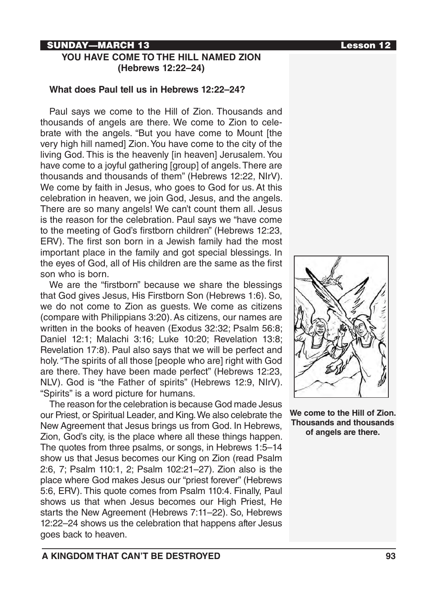## SUNDAY—MARCH 13 Lesson 12

### **YOU HAVE COME TO THE HILL NAMED ZION (Hebrews 12:22–24)**

#### **What does Paul tell us in Hebrews 12:22–24?**

Paul says we come to the Hill of Zion. Thousands and thousands of angels are there. We come to Zion to celebrate with the angels. "But you have come to Mount [the very high hill named] Zion. You have come to the city of the living God. This is the heavenly [in heaven] Jerusalem. You have come to a joyful gathering [group] of angels. There are thousands and thousands of them" (Hebrews 12:22, NIrV). We come by faith in Jesus, who goes to God for us. At this celebration in heaven, we join God, Jesus, and the angels. There are so many angels! We can't count them all. Jesus is the reason for the celebration. Paul says we "have come to the meeting of God's firstborn children" (Hebrews 12:23, ERV). The first son born in a Jewish family had the most important place in the family and got special blessings. In the eyes of God, all of His children are the same as the first son who is born.

We are the "firstborn" because we share the blessings that God gives Jesus, His Firstborn Son (Hebrews 1:6). So, we do not come to Zion as guests. We come as citizens (compare with Philippians 3:20). As citizens, our names are written in the books of heaven (Exodus 32:32; Psalm 56:8; Daniel 12:1; Malachi 3:16; Luke 10:20; Revelation 13:8; Revelation 17:8). Paul also says that we will be perfect and holy. "The spirits of all those [people who are] right with God are there. They have been made perfect" (Hebrews 12:23, NLV). God is "the Father of spirits" (Hebrews 12:9, NIrV). "Spirits" is a word picture for humans.

The reason for the celebration is because God made Jesus our Priest, or Spiritual Leader, and King. We also celebrate the New Agreement that Jesus brings us from God. In Hebrews, Zion, God's city, is the place where all these things happen. The quotes from three psalms, or songs, in Hebrews 1:5–14 show us that Jesus becomes our King on Zion (read Psalm 2:6, 7; Psalm 110:1, 2; Psalm 102:21–27). Zion also is the place where God makes Jesus our "priest forever" (Hebrews 5:6, ERV). This quote comes from Psalm 110:4. Finally, Paul shows us that when Jesus becomes our High Priest, He starts the New Agreement (Hebrews 7:11–22). So, Hebrews 12:22–24 shows us the celebration that happens after Jesus goes back to heaven.



**We come to the Hill of Zion. Thousands and thousands of angels are there.**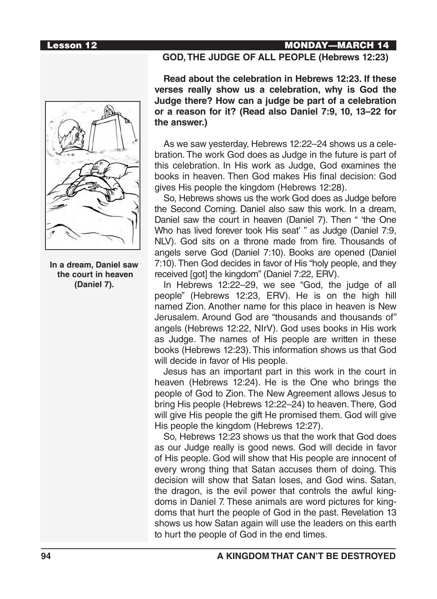#### Lesson 12 MONDAY—MARCH 14

### **GOD, THE JUDGE OF ALL PEOPLE (Hebrews 12:23)**



**In a dream, Daniel saw the court in heaven (Daniel 7).**

**Read about the celebration in Hebrews 12:23. If these verses really show us a celebration, why is God the Judge there? How can a judge be part of a celebration or a reason for it? (Read also Daniel 7:9, 10, 13–22 for the answer.)** 

As we saw yesterday, Hebrews 12:22–24 shows us a celebration. The work God does as Judge in the future is part of this celebration. In His work as Judge, God examines the books in heaven. Then God makes His final decision: God gives His people the kingdom (Hebrews 12:28).

So, Hebrews shows us the work God does as Judge before the Second Coming. Daniel also saw this work. In a dream, Daniel saw the court in heaven (Daniel 7). Then " 'the One Who has lived forever took His seat' " as Judge (Daniel 7:9, NLV). God sits on a throne made from fire. Thousands of angels serve God (Daniel 7:10). Books are opened (Daniel 7:10). Then God decides in favor of His "holy people, and they received [got] the kingdom" (Daniel 7:22, ERV).

In Hebrews 12:22–29, we see "God, the judge of all people" (Hebrews 12:23, ERV). He is on the high hill named Zion. Another name for this place in heaven is New Jerusalem. Around God are "thousands and thousands of" angels (Hebrews 12:22, NIrV). God uses books in His work as Judge. The names of His people are written in these books (Hebrews 12:23). This information shows us that God will decide in favor of His people.

Jesus has an important part in this work in the court in heaven (Hebrews 12:24). He is the One who brings the people of God to Zion. The New Agreement allows Jesus to bring His people (Hebrews 12:22–24) to heaven. There, God will give His people the gift He promised them. God will give His people the kingdom (Hebrews 12:27).

So, Hebrews 12:23 shows us that the work that God does as our Judge really is good news. God will decide in favor of His people. God will show that His people are innocent of every wrong thing that Satan accuses them of doing. This decision will show that Satan loses, and God wins. Satan, the dragon, is the evil power that controls the awful kingdoms in Daniel 7. These animals are word pictures for kingdoms that hurt the people of God in the past. Revelation 13 shows us how Satan again will use the leaders on this earth to hurt the people of God in the end times.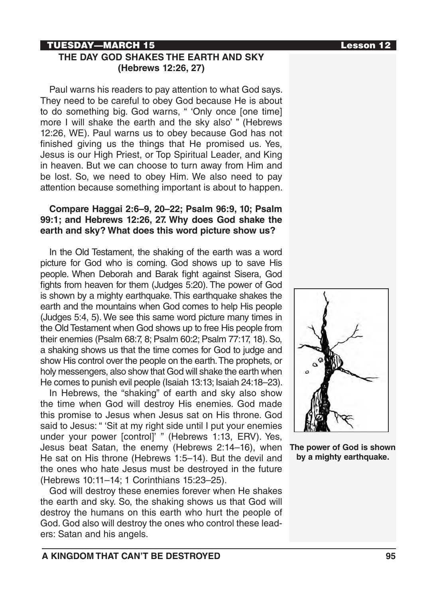# TUESDAY—MARCH 15 Lesson 12

# **THE DAY GOD SHAKES THE EARTH AND SKY (Hebrews 12:26, 27)**

Paul warns his readers to pay attention to what God says. They need to be careful to obey God because He is about to do something big. God warns, " 'Only once [one time] more I will shake the earth and the sky also' " (Hebrews 12:26, WE). Paul warns us to obey because God has not finished giving us the things that He promised us. Yes, Jesus is our High Priest, or Top Spiritual Leader, and King in heaven. But we can choose to turn away from Him and be lost. So, we need to obey Him. We also need to pay attention because something important is about to happen.

# **Compare Haggai 2:6–9, 20–22; Psalm 96:9, 10; Psalm 99:1; and Hebrews 12:26, 27. Why does God shake the earth and sky? What does this word picture show us?**

In the Old Testament, the shaking of the earth was a word picture for God who is coming. God shows up to save His people. When Deborah and Barak fight against Sisera, God fights from heaven for them (Judges 5:20). The power of God is shown by a mighty earthquake. This earthquake shakes the earth and the mountains when God comes to help His people (Judges 5:4, 5). We see this same word picture many times in the Old Testament when God shows up to free His people from their enemies (Psalm 68:7, 8; Psalm 60:2; Psalm 77:17, 18). So, a shaking shows us that the time comes for God to judge and show His control over the people on the earth. The prophets, or holy messengers, also show that God will shake the earth when He comes to punish evil people (Isaiah 13:13; Isaiah 24:18–23).

In Hebrews, the "shaking" of earth and sky also show the time when God will destroy His enemies. God made this promise to Jesus when Jesus sat on His throne. God said to Jesus: " 'Sit at my right side until I put your enemies under your power [control]' " (Hebrews 1:13, ERV). Yes, Jesus beat Satan, the enemy (Hebrews 2:14–16), when He sat on His throne (Hebrews 1:5–14). But the devil and the ones who hate Jesus must be destroyed in the future (Hebrews 10:11–14; 1 Corinthians 15:23–25).

God will destroy these enemies forever when He shakes the earth and sky. So, the shaking shows us that God will destroy the humans on this earth who hurt the people of God. God also will destroy the ones who control these leaders: Satan and his angels.



**The power of God is shown by a mighty earthquake.**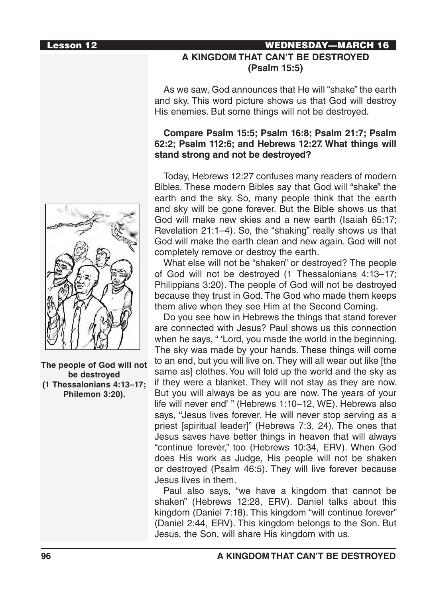

**The people of God will not be destroyed (1 Thessalonians 4:13–17; Philemon 3:20).**

# Lesson 12 WEDNESDAY—MARCH 16 **A KINGDOM THAT CAN'T BE DESTROYED (Psalm 15:5)**

As we saw, God announces that He will "shake" the earth and sky. This word picture shows us that God will destroy His enemies. But some things will not be destroyed.

### **Compare Psalm 15:5; Psalm 16:8; Psalm 21:7; Psalm 62:2; Psalm 112:6; and Hebrews 12:27. What things will stand strong and not be destroyed?**

Today, Hebrews 12:27 confuses many readers of modern Bibles. These modern Bibles say that God will "shake" the earth and the sky. So, many people think that the earth and sky will be gone forever. But the Bible shows us that God will make new skies and a new earth (Isaiah 65:17; Revelation 21:1–4). So, the "shaking" really shows us that God will make the earth clean and new again. God will not completely remove or destroy the earth.

What else will not be "shaken" or destroyed? The people of God will not be destroyed (1 Thessalonians 4:13–17; Philippians 3:20). The people of God will not be destroyed because they trust in God. The God who made them keeps them alive when they see Him at the Second Coming.

Do you see how in Hebrews the things that stand forever are connected with Jesus? Paul shows us this connection when he says, " 'Lord, you made the world in the beginning. The sky was made by your hands. These things will come to an end, but you will live on. They will all wear out like [the same as] clothes. You will fold up the world and the sky as if they were a blanket. They will not stay as they are now. But you will always be as you are now. The years of your life will never end' " (Hebrews 1:10–12, WE). Hebrews also says, "Jesus lives forever. He will never stop serving as a priest [spiritual leader]" (Hebrews 7:3, 24). The ones that Jesus saves have better things in heaven that will always "continue forever," too (Hebrews 10:34, ERV). When God does His work as Judge, His people will not be shaken or destroyed (Psalm 46:5). They will live forever because Jesus lives in them.

Paul also says, "we have a kingdom that cannot be shaken" (Hebrews 12:28, ERV). Daniel talks about this kingdom (Daniel 7:18). This kingdom "will continue forever" (Daniel 2:44, ERV). This kingdom belongs to the Son. But Jesus, the Son, will share His kingdom with us.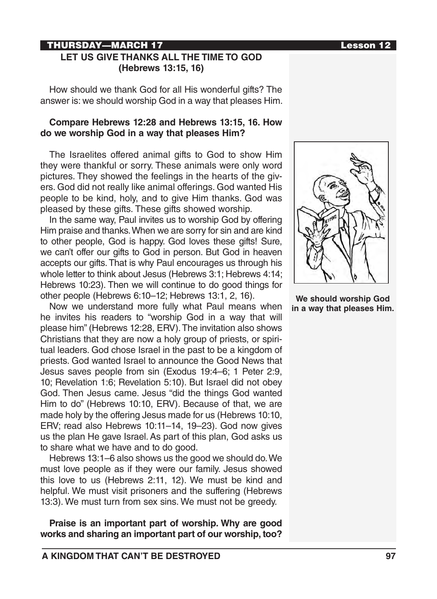# **THURSDAY—MARCH 17 Lesson 12**

## **LET US GIVE THANKS ALL THE TIME TO GOD (Hebrews 13:15, 16)**

How should we thank God for all His wonderful gifts? The answer is: we should worship God in a way that pleases Him.

### **Compare Hebrews 12:28 and Hebrews 13:15, 16. How do we worship God in a way that pleases Him?**

The Israelites offered animal gifts to God to show Him they were thankful or sorry. These animals were only word pictures. They showed the feelings in the hearts of the givers. God did not really like animal offerings. God wanted His people to be kind, holy, and to give Him thanks. God was pleased by these gifts. These gifts showed worship.

In the same way, Paul invites us to worship God by offering Him praise and thanks. When we are sorry for sin and are kind to other people, God is happy. God loves these gifts! Sure, we can't offer our gifts to God in person. But God in heaven accepts our gifts. That is why Paul encourages us through his whole letter to think about Jesus (Hebrews 3:1; Hebrews 4:14; Hebrews 10:23). Then we will continue to do good things for other people (Hebrews 6:10–12; Hebrews 13:1, 2, 16).

Now we understand more fully what Paul means when he invites his readers to "worship God in a way that will please him" (Hebrews 12:28, ERV). The invitation also shows Christians that they are now a holy group of priests, or spiritual leaders. God chose Israel in the past to be a kingdom of priests. God wanted Israel to announce the Good News that Jesus saves people from sin (Exodus 19:4–6; 1 Peter 2:9, 10; Revelation 1:6; Revelation 5:10). But Israel did not obey God. Then Jesus came. Jesus "did the things God wanted Him to do" (Hebrews 10:10, ERV). Because of that, we are made holy by the offering Jesus made for us (Hebrews 10:10, ERV; read also Hebrews 10:11–14, 19–23). God now gives us the plan He gave Israel. As part of this plan, God asks us to share what we have and to do good.

Hebrews 13:1–6 also shows us the good we should do. We must love people as if they were our family. Jesus showed this love to us (Hebrews 2:11, 12). We must be kind and helpful. We must visit prisoners and the suffering (Hebrews 13:3). We must turn from sex sins. We must not be greedy.

**Praise is an important part of worship. Why are good works and sharing an important part of our worship, too?**



**We should worship God in a way that pleases Him.**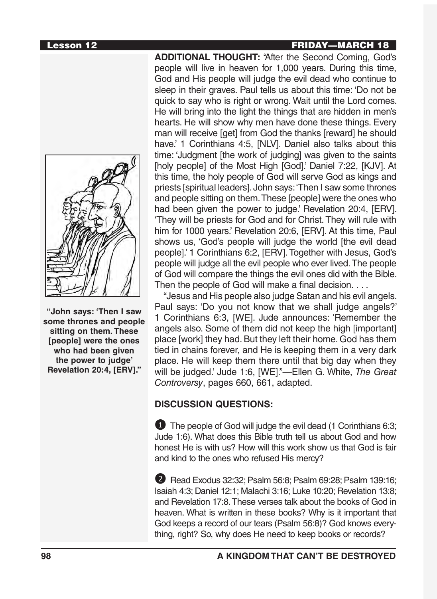# **Lesson 12 Existence 18 FRIDAY—MARCH 18**



**"John says: 'Then I saw some thrones and people sitting on them. These [people] were the ones who had been given the power to judge' Revelation 20:4, [ERV]."**

**ADDITIONAL THOUGHT:** "After the Second Coming, God's people will live in heaven for 1,000 years. During this time, God and His people will judge the evil dead who continue to sleep in their graves. Paul tells us about this time: 'Do not be quick to say who is right or wrong. Wait until the Lord comes. He will bring into the light the things that are hidden in men's hearts. He will show why men have done these things. Every man will receive [get] from God the thanks [reward] he should have.' 1 Corinthians 4:5, [NLV]. Daniel also talks about this time: 'Judgment [the work of judging] was given to the saints [holy people] of the Most High [God].' Daniel 7:22, [KJV]. At this time, the holy people of God will serve God as kings and priests [spiritual leaders]. John says: 'Then I saw some thrones and people sitting on them. These [people] were the ones who had been given the power to judge.' Revelation 20:4, [ERV]. 'They will be priests for God and for Christ. They will rule with him for 1000 years.' Revelation 20:6, [ERV]. At this time, Paul shows us, 'God's people will judge the world [the evil dead people].' 1 Corinthians 6:2, [ERV]. Together with Jesus, God's people will judge all the evil people who ever lived. The people of God will compare the things the evil ones did with the Bible. Then the people of God will make a final decision. . . .

"Jesus and His people also judge Satan and his evil angels. Paul says: 'Do you not know that we shall judge angels?' 1 Corinthians 6:3, [WE]. Jude announces: 'Remember the angels also. Some of them did not keep the high [important] place [work] they had. But they left their home. God has them tied in chains forever, and He is keeping them in a very dark place. He will keep them there until that big day when they will be judged.' Jude 1:6, [WE]."—Ellen G. White, *The Great Controversy*, pages 660, 661, adapted.

# **DISCUSSION QUESTIONS:**

**1** The people of God will judge the evil dead (1 Corinthians 6:3; Jude 1:6). What does this Bible truth tell us about God and how honest He is with us? How will this work show us that God is fair and kind to the ones who refused His mercy?

2 Read Exodus 32:32; Psalm 56:8; Psalm 69:28; Psalm 139:16; Isaiah 4:3; Daniel 12:1; Malachi 3:16; Luke 10:20; Revelation 13:8; and Revelation 17:8. These verses talk about the books of God in heaven. What is written in these books? Why is it important that God keeps a record of our tears (Psalm 56:8)? God knows everything, right? So, why does He need to keep books or records?